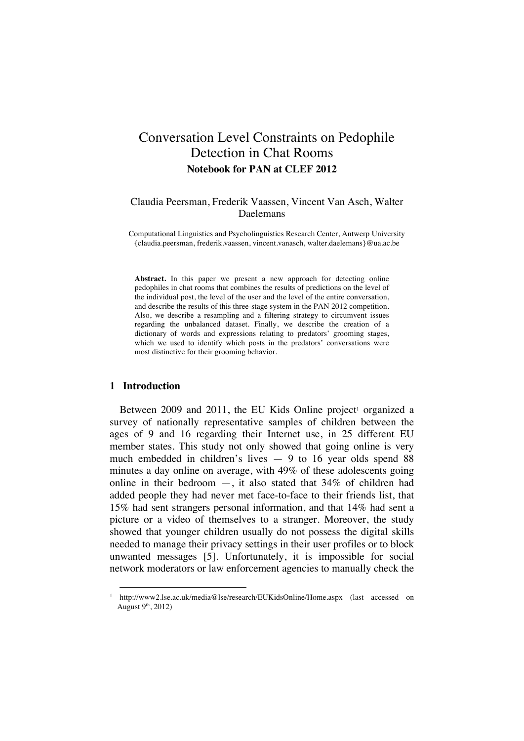# Conversation Level Constraints on Pedophile Detection in Chat Rooms **Notebook for PAN at CLEF 2012**

# Claudia Peersman, Frederik Vaassen, Vincent Van Asch, Walter Daelemans

Computational Linguistics and Psycholinguistics Research Center, Antwerp University {claudia.peersman, frederik.vaassen, vincent.vanasch, walter.daelemans}@ua.ac.be

**Abstract.** In this paper we present a new approach for detecting online pedophiles in chat rooms that combines the results of predictions on the level of the individual post, the level of the user and the level of the entire conversation, and describe the results of this three-stage system in the PAN 2012 competition. Also, we describe a resampling and a filtering strategy to circumvent issues regarding the unbalanced dataset. Finally, we describe the creation of a dictionary of words and expressions relating to predators' grooming stages, which we used to identify which posts in the predators' conversations were most distinctive for their grooming behavior.

# **1 Introduction**

Between  $2009$  and  $2011$ , the EU Kids Online project<sup>1</sup> organized a survey of nationally representative samples of children between the ages of 9 and 16 regarding their Internet use, in 25 different EU member states. This study not only showed that going online is very much embedded in children's lives — 9 to 16 year olds spend 88 minutes a day online on average, with 49% of these adolescents going online in their bedroom  $-$ , it also stated that  $34\%$  of children had added people they had never met face-to-face to their friends list, that 15% had sent strangers personal information, and that 14% had sent a picture or a video of themselves to a stranger. Moreover, the study showed that younger children usually do not possess the digital skills needed to manage their privacy settings in their user profiles or to block unwanted messages [5]. Unfortunately, it is impossible for social network moderators or law enforcement agencies to manually check the

http://www2.lse.ac.uk/media@lse/research/EUKidsOnline/Home.aspx (last accessed on August 9<sup>th</sup>, 2012)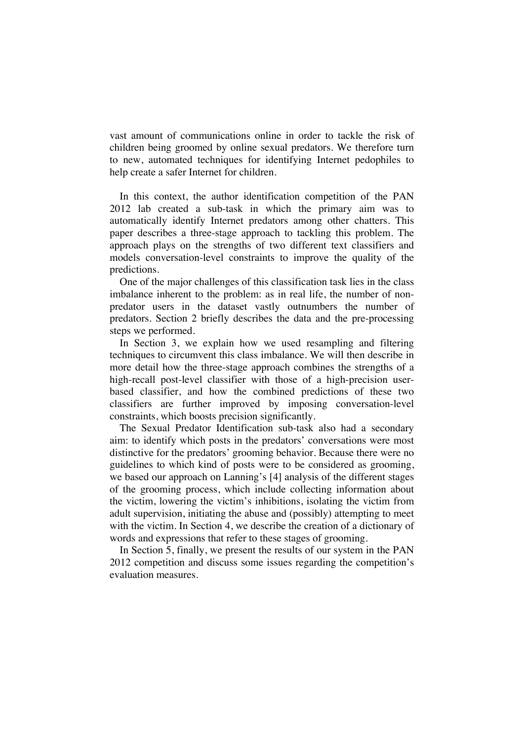vast amount of communications online in order to tackle the risk of children being groomed by online sexual predators. We therefore turn to new, automated techniques for identifying Internet pedophiles to help create a safer Internet for children.

In this context, the author identification competition of the PAN 2012 lab created a sub-task in which the primary aim was to automatically identify Internet predators among other chatters. This paper describes a three-stage approach to tackling this problem. The approach plays on the strengths of two different text classifiers and models conversation-level constraints to improve the quality of the predictions.

One of the major challenges of this classification task lies in the class imbalance inherent to the problem: as in real life, the number of nonpredator users in the dataset vastly outnumbers the number of predators. Section 2 briefly describes the data and the pre-processing steps we performed.

In Section 3, we explain how we used resampling and filtering techniques to circumvent this class imbalance. We will then describe in more detail how the three-stage approach combines the strengths of a high-recall post-level classifier with those of a high-precision userbased classifier, and how the combined predictions of these two classifiers are further improved by imposing conversation-level constraints, which boosts precision significantly.

The Sexual Predator Identification sub-task also had a secondary aim: to identify which posts in the predators' conversations were most distinctive for the predators' grooming behavior. Because there were no guidelines to which kind of posts were to be considered as grooming, we based our approach on Lanning's [4] analysis of the different stages of the grooming process, which include collecting information about the victim, lowering the victim's inhibitions, isolating the victim from adult supervision, initiating the abuse and (possibly) attempting to meet with the victim. In Section 4, we describe the creation of a dictionary of words and expressions that refer to these stages of grooming.

In Section 5, finally, we present the results of our system in the PAN 2012 competition and discuss some issues regarding the competition's evaluation measures.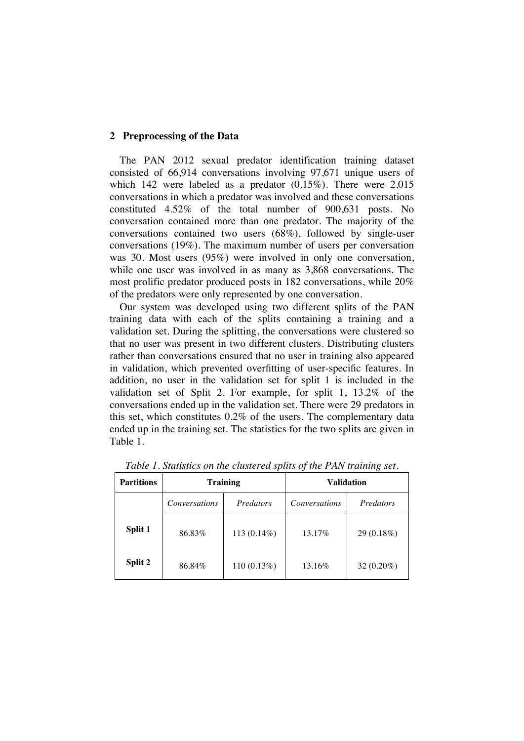### **2 Preprocessing of the Data**

The PAN 2012 sexual predator identification training dataset consisted of 66,914 conversations involving 97,671 unique users of which 142 were labeled as a predator (0.15%). There were 2,015 conversations in which a predator was involved and these conversations constituted 4.52% of the total number of 900,631 posts. No conversation contained more than one predator. The majority of the conversations contained two users (68%), followed by single-user conversations (19%). The maximum number of users per conversation was 30. Most users (95%) were involved in only one conversation, while one user was involved in as many as 3,868 conversations. The most prolific predator produced posts in 182 conversations, while 20% of the predators were only represented by one conversation.

Our system was developed using two different splits of the PAN training data with each of the splits containing a training and a validation set. During the splitting, the conversations were clustered so that no user was present in two different clusters. Distributing clusters rather than conversations ensured that no user in training also appeared in validation, which prevented overfitting of user-specific features. In addition, no user in the validation set for split 1 is included in the validation set of Split 2. For example, for split 1, 13.2% of the conversations ended up in the validation set. There were 29 predators in this set, which constitutes 0.2% of the users. The complementary data ended up in the training set. The statistics for the two splits are given in Table 1.

| <b>Partitions</b> | <b>Training</b>      |                | <b>Validation</b>    |              |  |
|-------------------|----------------------|----------------|----------------------|--------------|--|
|                   | <b>Conversations</b> | Predators      | <i>Conversations</i> | Predators    |  |
| Split 1           | 86.83%               | 113 $(0.14\%)$ | 13.17%               | $29(0.18\%)$ |  |
| Split 2           | 86.84%               | $110(0.13\%)$  | 13.16%               | $32(0.20\%)$ |  |

*Table 1. Statistics on the clustered splits of the PAN training set.*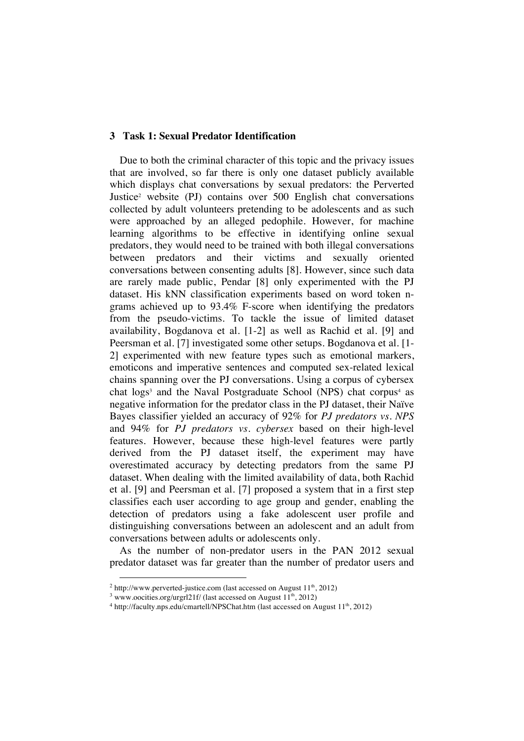## **3 Task 1: Sexual Predator Identification**

Due to both the criminal character of this topic and the privacy issues that are involved, so far there is only one dataset publicly available which displays chat conversations by sexual predators: the Perverted Justice2 website (PJ) contains over 500 English chat conversations collected by adult volunteers pretending to be adolescents and as such were approached by an alleged pedophile. However, for machine learning algorithms to be effective in identifying online sexual predators, they would need to be trained with both illegal conversations between predators and their victims and sexually oriented conversations between consenting adults [8]. However, since such data are rarely made public, Pendar [8] only experimented with the PJ dataset. His kNN classification experiments based on word token ngrams achieved up to 93.4% F-score when identifying the predators from the pseudo-victims. To tackle the issue of limited dataset availability, Bogdanova et al. [1-2] as well as Rachid et al. [9] and Peersman et al. [7] investigated some other setups. Bogdanova et al. [1- 2] experimented with new feature types such as emotional markers, emoticons and imperative sentences and computed sex-related lexical chains spanning over the PJ conversations. Using a corpus of cybersex chat logs<sup>3</sup> and the Naval Postgraduate School (NPS) chat corpus<sup>4</sup> as negative information for the predator class in the PJ dataset, their Naïve Bayes classifier yielded an accuracy of 92% for *PJ predators vs. NPS* and 94% for *PJ predators vs. cybersex* based on their high-level features. However, because these high-level features were partly derived from the PJ dataset itself, the experiment may have overestimated accuracy by detecting predators from the same PJ dataset. When dealing with the limited availability of data, both Rachid et al. [9] and Peersman et al. [7] proposed a system that in a first step classifies each user according to age group and gender, enabling the detection of predators using a fake adolescent user profile and distinguishing conversations between an adolescent and an adult from conversations between adults or adolescents only.

As the number of non-predator users in the PAN 2012 sexual predator dataset was far greater than the number of predator users and

 $2$  http://www.perverted-justice.com (last accessed on August  $11<sup>th</sup>$ , 2012)

 $3$  www.oocities.org/urgrl21f/ (last accessed on August  $11<sup>th</sup>$ , 2012)

 $^4$ http://faculty.nps.edu/cmartell/NPSChat.htm (last accessed on August  $11^{\rm th}, 2012)$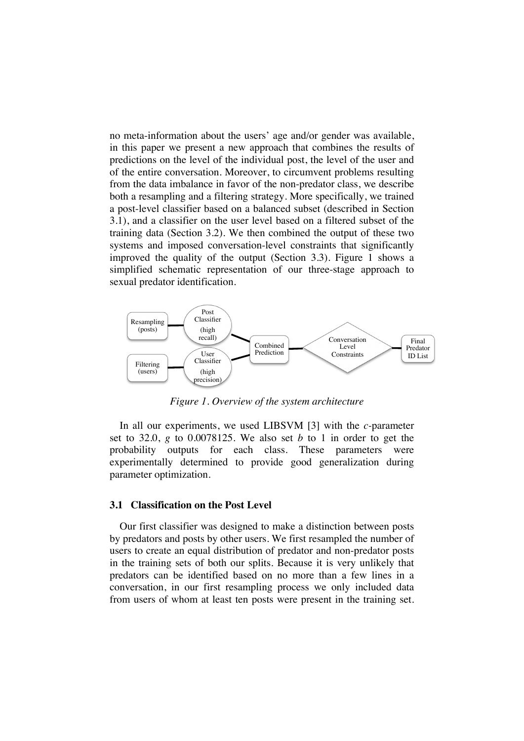no meta-information about the users' age and/or gender was available, in this paper we present a new approach that combines the results of predictions on the level of the individual post, the level of the user and of the entire conversation. Moreover, to circumvent problems resulting from the data imbalance in favor of the non-predator class, we describe both a resampling and a filtering strategy. More specifically, we trained a post-level classifier based on a balanced subset (described in Section 3.1), and a classifier on the user level based on a filtered subset of the training data (Section 3.2). We then combined the output of these two systems and imposed conversation-level constraints that significantly improved the quality of the output (Section 3.3). Figure 1 shows a simplified schematic representation of our three-stage approach to sexual predator identification.



*Figure 1. Overview of the system architecture*

In all our experiments, we used LIBSVM [3] with the *c-*parameter set to 32.0, *g* to 0.0078125. We also set *b* to 1 in order to get the probability outputs for each class. These parameters were experimentally determined to provide good generalization during parameter optimization.

#### **3.1 Classification on the Post Level**

Our first classifier was designed to make a distinction between posts by predators and posts by other users. We first resampled the number of users to create an equal distribution of predator and non-predator posts in the training sets of both our splits. Because it is very unlikely that predators can be identified based on no more than a few lines in a conversation, in our first resampling process we only included data from users of whom at least ten posts were present in the training set.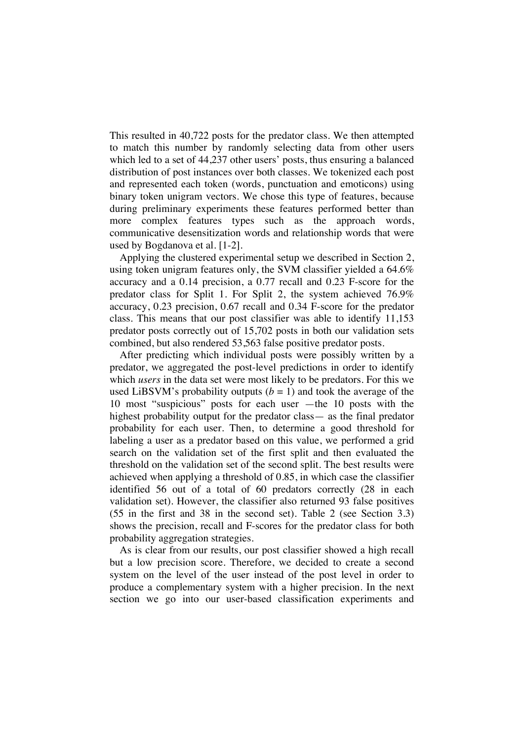This resulted in 40,722 posts for the predator class. We then attempted to match this number by randomly selecting data from other users which led to a set of 44,237 other users' posts, thus ensuring a balanced distribution of post instances over both classes. We tokenized each post and represented each token (words, punctuation and emoticons) using binary token unigram vectors. We chose this type of features, because during preliminary experiments these features performed better than more complex features types such as the approach words, communicative desensitization words and relationship words that were used by Bogdanova et al. [1-2].

Applying the clustered experimental setup we described in Section 2, using token unigram features only, the SVM classifier yielded a 64.6% accuracy and a 0.14 precision, a 0.77 recall and 0.23 F-score for the predator class for Split 1. For Split 2, the system achieved 76.9% accuracy, 0.23 precision, 0.67 recall and 0.34 F-score for the predator class. This means that our post classifier was able to identify 11,153 predator posts correctly out of 15,702 posts in both our validation sets combined, but also rendered 53,563 false positive predator posts.

After predicting which individual posts were possibly written by a predator, we aggregated the post-level predictions in order to identify which *users* in the data set were most likely to be predators. For this we used LiBSVM's probability outputs  $(b = 1)$  and took the average of the 10 most "suspicious" posts for each user —the 10 posts with the highest probability output for the predator class— as the final predator probability for each user. Then, to determine a good threshold for labeling a user as a predator based on this value, we performed a grid search on the validation set of the first split and then evaluated the threshold on the validation set of the second split. The best results were achieved when applying a threshold of 0.85, in which case the classifier identified 56 out of a total of 60 predators correctly (28 in each validation set). However, the classifier also returned 93 false positives (55 in the first and 38 in the second set). Table 2 (see Section 3.3) shows the precision, recall and F-scores for the predator class for both probability aggregation strategies.

As is clear from our results, our post classifier showed a high recall but a low precision score. Therefore, we decided to create a second system on the level of the user instead of the post level in order to produce a complementary system with a higher precision. In the next section we go into our user-based classification experiments and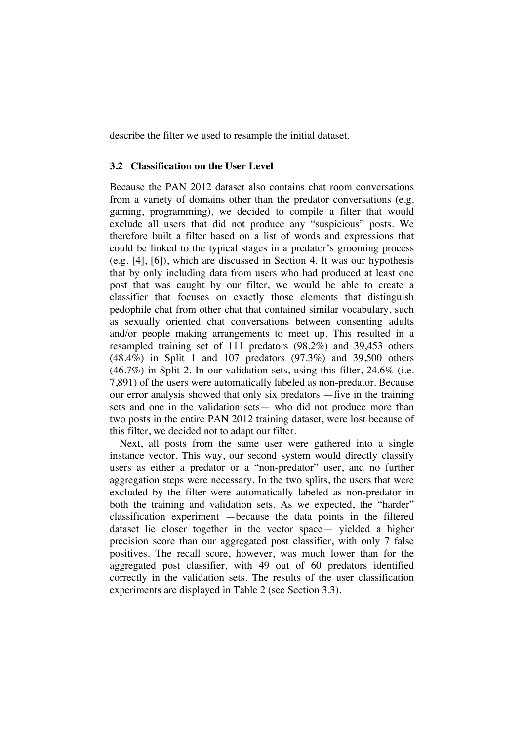describe the filter we used to resample the initial dataset.

## **3.2 Classification on the User Level**

Because the PAN 2012 dataset also contains chat room conversations from a variety of domains other than the predator conversations (e.g. gaming, programming), we decided to compile a filter that would exclude all users that did not produce any "suspicious" posts. We therefore built a filter based on a list of words and expressions that could be linked to the typical stages in a predator's grooming process (e.g. [4], [6]), which are discussed in Section 4. It was our hypothesis that by only including data from users who had produced at least one post that was caught by our filter, we would be able to create a classifier that focuses on exactly those elements that distinguish pedophile chat from other chat that contained similar vocabulary, such as sexually oriented chat conversations between consenting adults and/or people making arrangements to meet up. This resulted in a resampled training set of 111 predators (98.2%) and 39,453 others (48.4%) in Split 1 and 107 predators (97.3%) and 39,500 others (46.7%) in Split 2. In our validation sets, using this filter, 24.6% (i.e. 7,891) of the users were automatically labeled as non-predator. Because our error analysis showed that only six predators —five in the training sets and one in the validation sets— who did not produce more than two posts in the entire PAN 2012 training dataset, were lost because of this filter, we decided not to adapt our filter.

Next, all posts from the same user were gathered into a single instance vector. This way, our second system would directly classify users as either a predator or a "non-predator" user, and no further aggregation steps were necessary. In the two splits, the users that were excluded by the filter were automatically labeled as non-predator in both the training and validation sets. As we expected, the "harder" classification experiment —because the data points in the filtered dataset lie closer together in the vector space— yielded a higher precision score than our aggregated post classifier, with only 7 false positives. The recall score, however, was much lower than for the aggregated post classifier, with 49 out of 60 predators identified correctly in the validation sets. The results of the user classification experiments are displayed in Table 2 (see Section 3.3).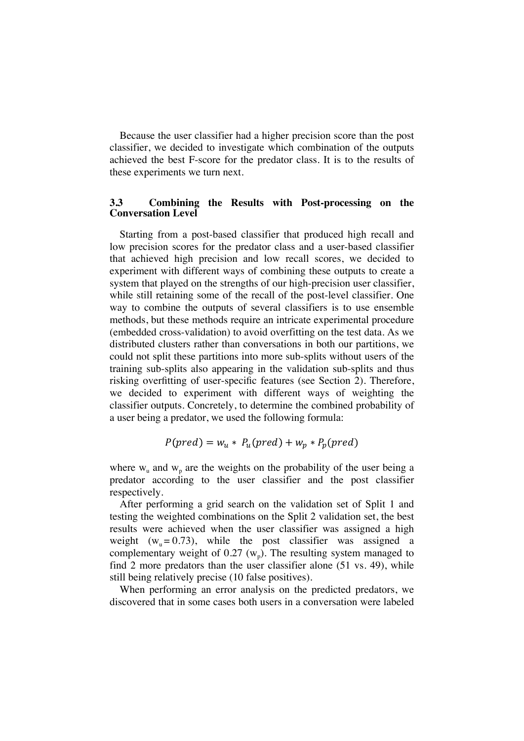Because the user classifier had a higher precision score than the post classifier, we decided to investigate which combination of the outputs achieved the best F-score for the predator class. It is to the results of these experiments we turn next.

# **3.3 Combining the Results with Post-processing on the Conversation Level**

Starting from a post-based classifier that produced high recall and low precision scores for the predator class and a user-based classifier that achieved high precision and low recall scores, we decided to experiment with different ways of combining these outputs to create a system that played on the strengths of our high-precision user classifier, while still retaining some of the recall of the post-level classifier. One way to combine the outputs of several classifiers is to use ensemble methods, but these methods require an intricate experimental procedure (embedded cross-validation) to avoid overfitting on the test data. As we distributed clusters rather than conversations in both our partitions, we could not split these partitions into more sub-splits without users of the training sub-splits also appearing in the validation sub-splits and thus risking overfitting of user-specific features (see Section 2). Therefore, we decided to experiment with different ways of weighting the classifier outputs. Concretely, to determine the combined probability of a user being a predator, we used the following formula:

$$
P(pred) = w_u * P_u(pred) + w_p * P_p(pred)
$$

where  $w_u$  and  $w_p$  are the weights on the probability of the user being a predator according to the user classifier and the post classifier respectively.

After performing a grid search on the validation set of Split 1 and testing the weighted combinations on the Split 2 validation set, the best results were achieved when the user classifier was assigned a high weight  $(w_u = 0.73)$ , while the post classifier was assigned a complementary weight of  $0.27 \, (w_p)$ . The resulting system managed to find 2 more predators than the user classifier alone (51 vs. 49), while still being relatively precise (10 false positives).

When performing an error analysis on the predicted predators, we discovered that in some cases both users in a conversation were labeled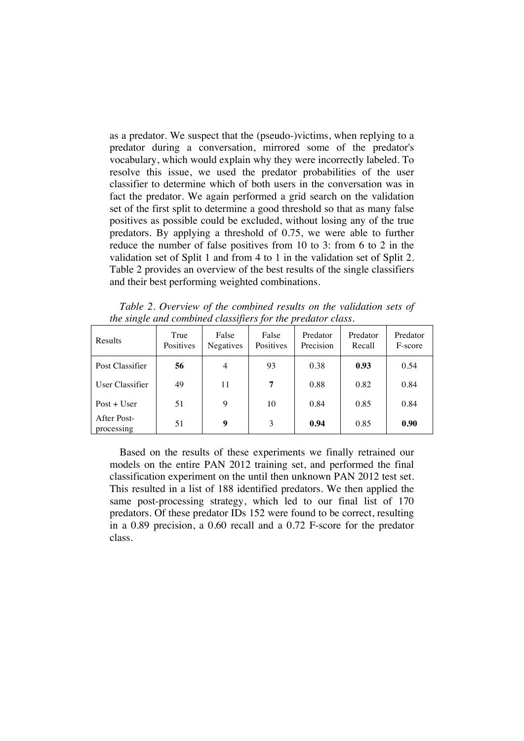as a predator. We suspect that the (pseudo-)victims, when replying to a predator during a conversation, mirrored some of the predator's vocabulary, which would explain why they were incorrectly labeled. To resolve this issue, we used the predator probabilities of the user classifier to determine which of both users in the conversation was in fact the predator. We again performed a grid search on the validation set of the first split to determine a good threshold so that as many false positives as possible could be excluded, without losing any of the true predators. By applying a threshold of 0.75, we were able to further reduce the number of false positives from 10 to 3: from 6 to 2 in the validation set of Split 1 and from 4 to 1 in the validation set of Split 2. Table 2 provides an overview of the best results of the single classifiers and their best performing weighted combinations.

*Table 2. Overview of the combined results on the validation sets of the single and combined classifiers for the predator class.*

| <b>Results</b>            | True<br>Positives | False<br>Negatives | False<br>Positives | Predator<br>Precision | Predator<br>Recall | Predator<br>F-score |
|---------------------------|-------------------|--------------------|--------------------|-----------------------|--------------------|---------------------|
| Post Classifier           | 56                | 4                  | 93                 | 0.38                  | 0.93               | 0.54                |
| User Classifier           | 49                | 11                 | 7                  | 0.88                  | 0.82               | 0.84                |
| $Post + User$             | 51                | 9                  | 10                 | 0.84                  | 0.85               | 0.84                |
| After Post-<br>processing | 51                | 9                  | 3                  | 0.94                  | 0.85               | 0.90                |

Based on the results of these experiments we finally retrained our models on the entire PAN 2012 training set, and performed the final classification experiment on the until then unknown PAN 2012 test set. This resulted in a list of 188 identified predators. We then applied the same post-processing strategy, which led to our final list of 170 predators. Of these predator IDs 152 were found to be correct, resulting in a 0.89 precision, a 0.60 recall and a 0.72 F-score for the predator class.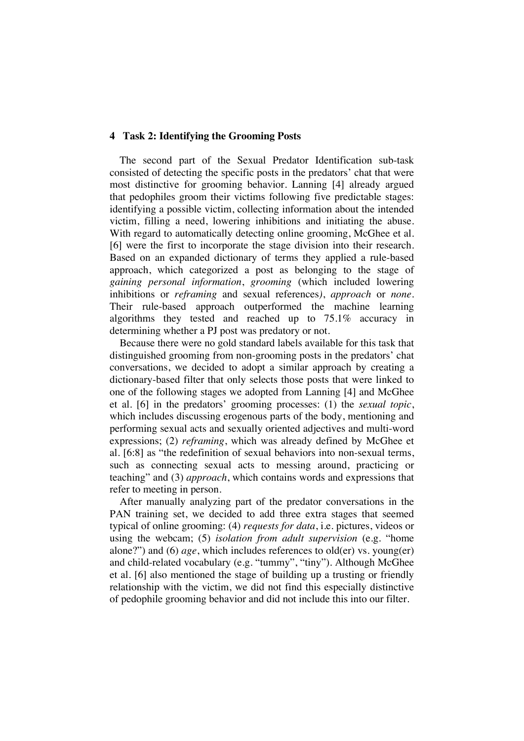#### **4 Task 2: Identifying the Grooming Posts**

The second part of the Sexual Predator Identification sub-task consisted of detecting the specific posts in the predators' chat that were most distinctive for grooming behavior. Lanning [4] already argued that pedophiles groom their victims following five predictable stages: identifying a possible victim, collecting information about the intended victim, filling a need, lowering inhibitions and initiating the abuse. With regard to automatically detecting online grooming, McGhee et al. [6] were the first to incorporate the stage division into their research. Based on an expanded dictionary of terms they applied a rule-based approach, which categorized a post as belonging to the stage of *gaining personal information*, *grooming* (which included lowering inhibitions or *reframing* and sexual references*)*, *approach* or *none*. Their rule-based approach outperformed the machine learning algorithms they tested and reached up to 75.1% accuracy in determining whether a PJ post was predatory or not.

Because there were no gold standard labels available for this task that distinguished grooming from non-grooming posts in the predators' chat conversations, we decided to adopt a similar approach by creating a dictionary-based filter that only selects those posts that were linked to one of the following stages we adopted from Lanning [4] and McGhee et al. [6] in the predators' grooming processes: (1) the *sexual topic*, which includes discussing erogenous parts of the body, mentioning and performing sexual acts and sexually oriented adjectives and multi-word expressions; (2) *reframing*, which was already defined by McGhee et al. [6:8] as "the redefinition of sexual behaviors into non-sexual terms, such as connecting sexual acts to messing around, practicing or teaching" and (3) *approach*, which contains words and expressions that refer to meeting in person.

After manually analyzing part of the predator conversations in the PAN training set, we decided to add three extra stages that seemed typical of online grooming: (4) *requests for data*, i.e. pictures, videos or using the webcam; (5) *isolation from adult supervision* (e.g. "home alone?") and (6) *age*, which includes references to old(er) vs. young(er) and child-related vocabulary (e.g. "tummy", "tiny"). Although McGhee et al. [6] also mentioned the stage of building up a trusting or friendly relationship with the victim, we did not find this especially distinctive of pedophile grooming behavior and did not include this into our filter.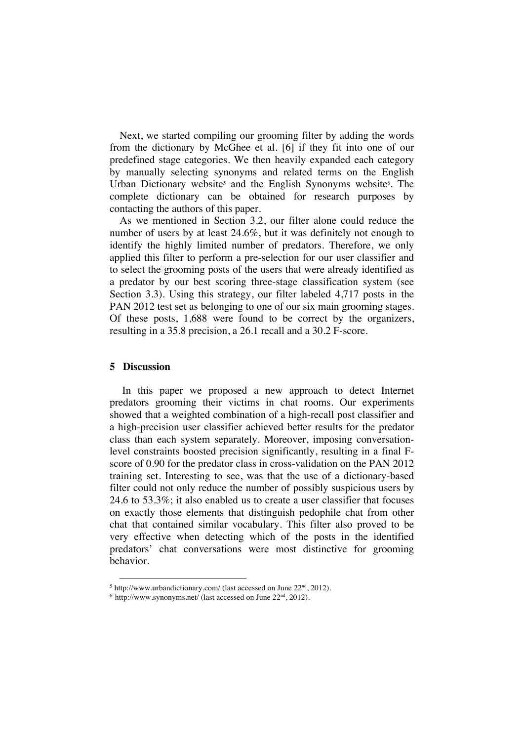Next, we started compiling our grooming filter by adding the words from the dictionary by McGhee et al. [6] if they fit into one of our predefined stage categories. We then heavily expanded each category by manually selecting synonyms and related terms on the English Urban Dictionary website<sup>5</sup> and the English Synonyms website<sup>6</sup>. The complete dictionary can be obtained for research purposes by contacting the authors of this paper.

As we mentioned in Section 3.2, our filter alone could reduce the number of users by at least 24.6%, but it was definitely not enough to identify the highly limited number of predators. Therefore, we only applied this filter to perform a pre-selection for our user classifier and to select the grooming posts of the users that were already identified as a predator by our best scoring three-stage classification system (see Section 3.3). Using this strategy, our filter labeled 4,717 posts in the PAN 2012 test set as belonging to one of our six main grooming stages. Of these posts, 1,688 were found to be correct by the organizers, resulting in a 35.8 precision, a 26.1 recall and a 30.2 F-score.

#### **5 Discussion**

In this paper we proposed a new approach to detect Internet predators grooming their victims in chat rooms. Our experiments showed that a weighted combination of a high-recall post classifier and a high-precision user classifier achieved better results for the predator class than each system separately. Moreover, imposing conversationlevel constraints boosted precision significantly, resulting in a final Fscore of 0.90 for the predator class in cross-validation on the PAN 2012 training set. Interesting to see, was that the use of a dictionary-based filter could not only reduce the number of possibly suspicious users by 24.6 to 53.3%; it also enabled us to create a user classifier that focuses on exactly those elements that distinguish pedophile chat from other chat that contained similar vocabulary. This filter also proved to be very effective when detecting which of the posts in the identified predators' chat conversations were most distinctive for grooming behavior.

 $5$  http://www.urbandictionary.com/ (last accessed on June  $22<sup>nd</sup>$ , 2012).

 $6$  http://www.synonyms.net/ (last accessed on June  $22<sup>nd</sup>$ , 2012).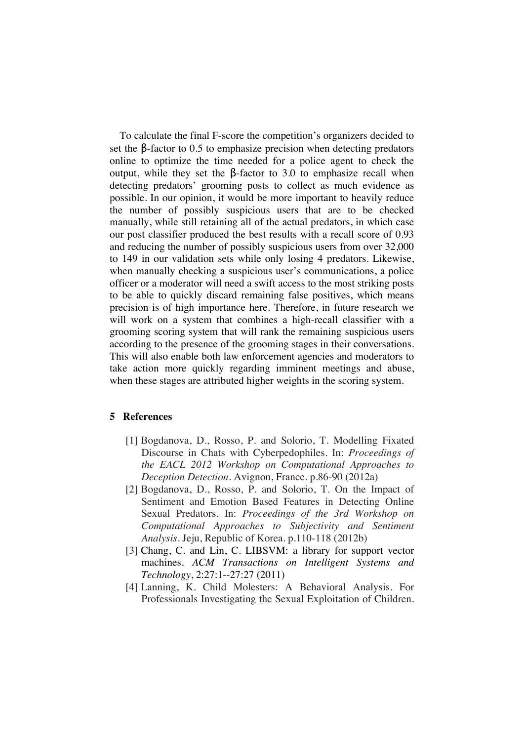To calculate the final F-score the competition's organizers decided to set the  $\beta$ -factor to 0.5 to emphasize precision when detecting predators online to optimize the time needed for a police agent to check the output, while they set the  $β$ -factor to 3.0 to emphasize recall when detecting predators' grooming posts to collect as much evidence as possible. In our opinion, it would be more important to heavily reduce the number of possibly suspicious users that are to be checked manually, while still retaining all of the actual predators, in which case our post classifier produced the best results with a recall score of 0.93 and reducing the number of possibly suspicious users from over 32,000 to 149 in our validation sets while only losing 4 predators. Likewise, when manually checking a suspicious user's communications, a police officer or a moderator will need a swift access to the most striking posts to be able to quickly discard remaining false positives, which means precision is of high importance here. Therefore, in future research we will work on a system that combines a high-recall classifier with a grooming scoring system that will rank the remaining suspicious users according to the presence of the grooming stages in their conversations. This will also enable both law enforcement agencies and moderators to take action more quickly regarding imminent meetings and abuse, when these stages are attributed higher weights in the scoring system.

## **5 References**

- [1] Bogdanova, D., Rosso, P. and Solorio, T. Modelling Fixated Discourse in Chats with Cyberpedophiles. In: *Proceedings of the EACL 2012 Workshop on Computational Approaches to Deception Detection.* Avignon, France. p.86-90 (2012a)
- [2] Bogdanova, D., Rosso, P. and Solorio, T. On the Impact of Sentiment and Emotion Based Features in Detecting Online Sexual Predators. In: *Proceedings of the 3rd Workshop on Computational Approaches to Subjectivity and Sentiment Analysis.* Jeju, Republic of Korea. p.110-118 (2012b)
- [3] Chang, C. and Lin, C. LIBSVM: a library for support vector machines. *ACM Transactions on Intelligent Systems and Technology*, 2:27:1--27:27 (2011)
- [4] Lanning, K. Child Molesters: A Behavioral Analysis. For Professionals Investigating the Sexual Exploitation of Children.